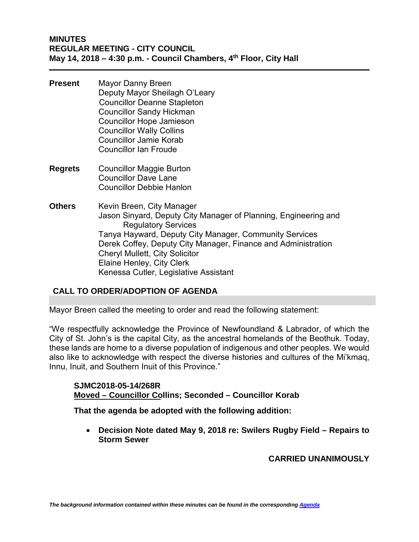## **MINUTES REGULAR MEETING - CITY COUNCIL May 14, 2018 – 4:30 p.m. - Council Chambers, 4th Floor, City Hall**

- **Present** Mayor Danny Breen Deputy Mayor Sheilagh O'Leary Councillor Deanne Stapleton Councillor Sandy Hickman Councillor Hope Jamieson Councillor Wally Collins Councillor Jamie Korab Councillor Ian Froude
- **Regrets** Councillor Maggie Burton Councillor Dave Lane Councillor Debbie Hanlon
- **Others** Kevin Breen, City Manager Jason Sinyard, Deputy City Manager of Planning, Engineering and Regulatory Services Tanya Hayward, Deputy City Manager, Community Services Derek Coffey, Deputy City Manager, Finance and Administration Cheryl Mullett, City Solicitor Elaine Henley, City Clerk Kenessa Cutler, Legislative Assistant

# **CALL TO ORDER/ADOPTION OF AGENDA**

Mayor Breen called the meeting to order and read the following statement:

"We respectfully acknowledge the Province of Newfoundland & Labrador, of which the City of St. John's is the capital City, as the ancestral homelands of the Beothuk. Today, these lands are home to a diverse population of indigenous and other peoples. We would also like to acknowledge with respect the diverse histories and cultures of the Mi'kmaq, Innu, Inuit, and Southern Inuit of this Province."

**SJMC2018-05-14/268R Moved – Councillor Collins; Seconded – Councillor Korab**

**That the agenda be adopted with the following addition:**

• **Decision Note dated May 9, 2018 re: Swilers Rugby Field – Repairs to Storm Sewer**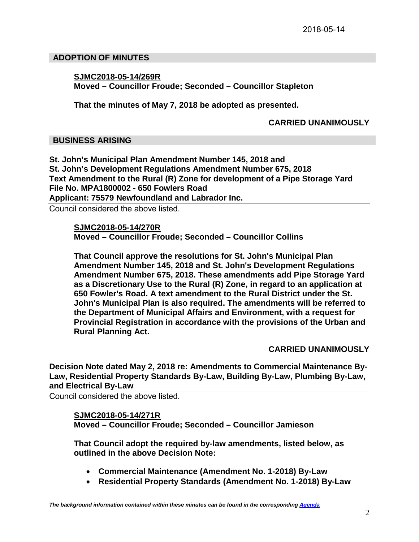## **ADOPTION OF MINUTES**

## **SJMC2018-05-14/269R Moved – Councillor Froude; Seconded – Councillor Stapleton**

**That the minutes of May 7, 2018 be adopted as presented.**

## **CARRIED UNANIMOUSLY**

# **BUSINESS ARISING**

**St. John's Municipal Plan Amendment Number 145, 2018 and St. John's Development Regulations Amendment Number 675, 2018 Text Amendment to the Rural (R) Zone for development of a Pipe Storage Yard File No. MPA1800002 - 650 Fowlers Road Applicant: 75579 Newfoundland and Labrador Inc.** 

Council considered the above listed.

**SJMC2018-05-14/270R Moved – Councillor Froude; Seconded – Councillor Collins**

**That Council approve the resolutions for St. John's Municipal Plan Amendment Number 145, 2018 and St. John's Development Regulations Amendment Number 675, 2018. These amendments add Pipe Storage Yard as a Discretionary Use to the Rural (R) Zone, in regard to an application at 650 Fowler's Road. A text amendment to the Rural District under the St. John's Municipal Plan is also required. The amendments will be referred to the Department of Municipal Affairs and Environment, with a request for Provincial Registration in accordance with the provisions of the Urban and Rural Planning Act.** 

# **CARRIED UNANIMOUSLY**

**Decision Note dated May 2, 2018 re: Amendments to Commercial Maintenance By-Law, Residential Property Standards By-Law, Building By-Law, Plumbing By-Law, and Electrical By-Law**

Council considered the above listed.

# **SJMC2018-05-14/271R**

**Moved – Councillor Froude; Seconded – Councillor Jamieson** 

**That Council adopt the required by-law amendments, listed below, as outlined in the above Decision Note:**

- **Commercial Maintenance (Amendment No. 1-2018) By-Law**
- **Residential Property Standards (Amendment No. 1-2018) By-Law**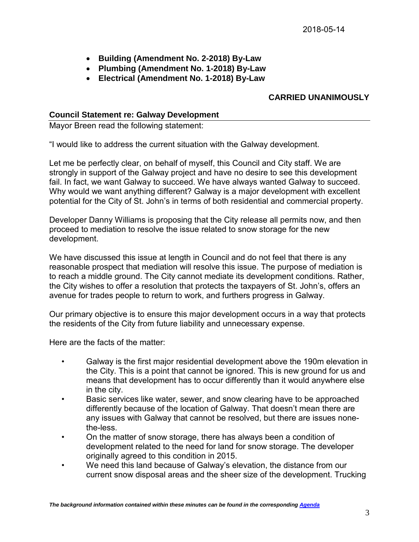- **Building (Amendment No. 2-2018) By-Law**
- **Plumbing (Amendment No. 1-2018) By-Law**
- **Electrical (Amendment No. 1-2018) By-Law**

# **CARRIED UNANIMOUSLY**

## **Council Statement re: Galway Development**

Mayor Breen read the following statement:

"I would like to address the current situation with the Galway development.

Let me be perfectly clear, on behalf of myself, this Council and City staff. We are strongly in support of the Galway project and have no desire to see this development fail. In fact, we want Galway to succeed. We have always wanted Galway to succeed. Why would we want anything different? Galway is a major development with excellent potential for the City of St. John's in terms of both residential and commercial property.

Developer Danny Williams is proposing that the City release all permits now, and then proceed to mediation to resolve the issue related to snow storage for the new development.

We have discussed this issue at length in Council and do not feel that there is any reasonable prospect that mediation will resolve this issue. The purpose of mediation is to reach a middle ground. The City cannot mediate its development conditions. Rather, the City wishes to offer a resolution that protects the taxpayers of St. John's, offers an avenue for trades people to return to work, and furthers progress in Galway.

Our primary objective is to ensure this major development occurs in a way that protects the residents of the City from future liability and unnecessary expense.

Here are the facts of the matter:

- Galway is the first major residential development above the 190m elevation in the City. This is a point that cannot be ignored. This is new ground for us and means that development has to occur differently than it would anywhere else in the city.
- Basic services like water, sewer, and snow clearing have to be approached differently because of the location of Galway. That doesn't mean there are any issues with Galway that cannot be resolved, but there are issues nonethe-less.
- On the matter of snow storage, there has always been a condition of development related to the need for land for snow storage. The developer originally agreed to this condition in 2015.
- We need this land because of Galway's elevation, the distance from our current snow disposal areas and the sheer size of the development. Trucking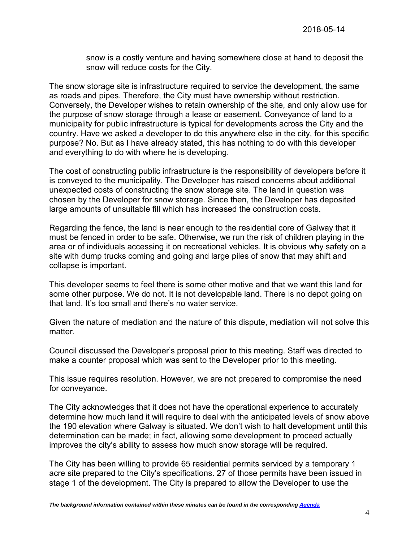snow is a costly venture and having somewhere close at hand to deposit the snow will reduce costs for the City.

The snow storage site is infrastructure required to service the development, the same as roads and pipes. Therefore, the City must have ownership without restriction. Conversely, the Developer wishes to retain ownership of the site, and only allow use for the purpose of snow storage through a lease or easement. Conveyance of land to a municipality for public infrastructure is typical for developments across the City and the country. Have we asked a developer to do this anywhere else in the city, for this specific purpose? No. But as I have already stated, this has nothing to do with this developer and everything to do with where he is developing.

The cost of constructing public infrastructure is the responsibility of developers before it is conveyed to the municipality. The Developer has raised concerns about additional unexpected costs of constructing the snow storage site. The land in question was chosen by the Developer for snow storage. Since then, the Developer has deposited large amounts of unsuitable fill which has increased the construction costs.

Regarding the fence, the land is near enough to the residential core of Galway that it must be fenced in order to be safe. Otherwise, we run the risk of children playing in the area or of individuals accessing it on recreational vehicles. It is obvious why safety on a site with dump trucks coming and going and large piles of snow that may shift and collapse is important.

This developer seems to feel there is some other motive and that we want this land for some other purpose. We do not. It is not developable land. There is no depot going on that land. It's too small and there's no water service.

Given the nature of mediation and the nature of this dispute, mediation will not solve this matter.

Council discussed the Developer's proposal prior to this meeting. Staff was directed to make a counter proposal which was sent to the Developer prior to this meeting.

This issue requires resolution. However, we are not prepared to compromise the need for conveyance.

The City acknowledges that it does not have the operational experience to accurately determine how much land it will require to deal with the anticipated levels of snow above the 190 elevation where Galway is situated. We don't wish to halt development until this determination can be made; in fact, allowing some development to proceed actually improves the city's ability to assess how much snow storage will be required.

The City has been willing to provide 65 residential permits serviced by a temporary 1 acre site prepared to the City's specifications. 27 of those permits have been issued in stage 1 of the development. The City is prepared to allow the Developer to use the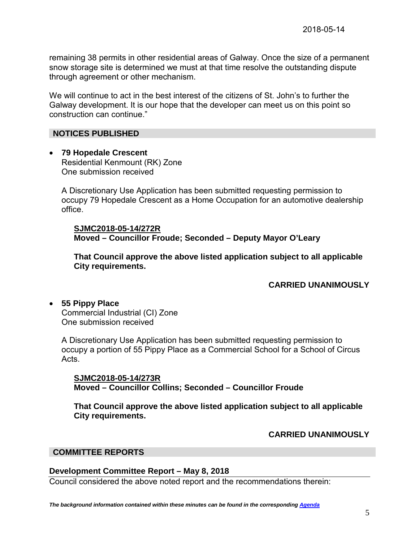remaining 38 permits in other residential areas of Galway. Once the size of a permanent snow storage site is determined we must at that time resolve the outstanding dispute through agreement or other mechanism.

We will continue to act in the best interest of the citizens of St. John's to further the Galway development. It is our hope that the developer can meet us on this point so construction can continue."

# **NOTICES PUBLISHED**

• **79 Hopedale Crescent** Residential Kenmount (RK) Zone One submission received

A Discretionary Use Application has been submitted requesting permission to occupy 79 Hopedale Crescent as a Home Occupation for an automotive dealership office.

**SJMC2018-05-14/272R Moved – Councillor Froude; Seconded – Deputy Mayor O'Leary** 

**That Council approve the above listed application subject to all applicable City requirements.**

# **CARRIED UNANIMOUSLY**

• **55 Pippy Place** Commercial Industrial (CI) Zone One submission received

A Discretionary Use Application has been submitted requesting permission to occupy a portion of 55 Pippy Place as a Commercial School for a School of Circus Acts.

**SJMC2018-05-14/273R Moved – Councillor Collins; Seconded – Councillor Froude**

**That Council approve the above listed application subject to all applicable City requirements.**

# **CARRIED UNANIMOUSLY**

# **COMMITTEE REPORTS**

# **Development Committee Report – May 8, 2018**

Council considered the above noted report and the recommendations therein: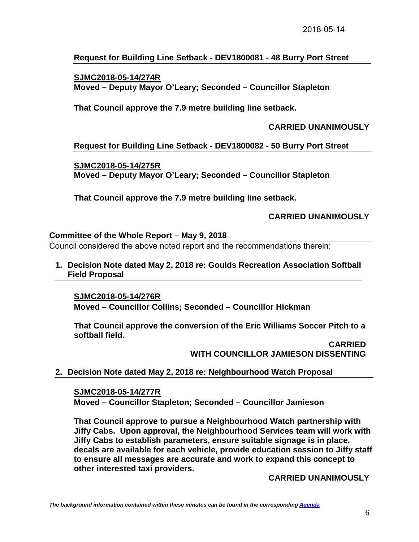# **Request for Building Line Setback - DEV1800081 - 48 Burry Port Street**

## **SJMC2018-05-14/274R Moved – Deputy Mayor O'Leary; Seconded – Councillor Stapleton**

# **That Council approve the 7.9 metre building line setback.**

## **CARRIED UNANIMOUSLY**

## **Request for Building Line Setback - DEV1800082 - 50 Burry Port Street**

## **SJMC2018-05-14/275R Moved – Deputy Mayor O'Leary; Seconded – Councillor Stapleton**

**That Council approve the 7.9 metre building line setback.** 

## **CARRIED UNANIMOUSLY**

## **Committee of the Whole Report – May 9, 2018**

Council considered the above noted report and the recommendations therein:

**1. Decision Note dated May 2, 2018 re: Goulds Recreation Association Softball Field Proposal**

#### **SJMC2018-05-14/276R**

**Moved – Councillor Collins; Seconded – Councillor Hickman**

**That Council approve the conversion of the Eric Williams Soccer Pitch to a softball field.**

> **CARRIED WITH COUNCILLOR JAMIESON DISSENTING**

# **2. Decision Note dated May 2, 2018 re: Neighbourhood Watch Proposal**

**SJMC2018-05-14/277R Moved – Councillor Stapleton; Seconded – Councillor Jamieson**

**That Council approve to pursue a Neighbourhood Watch partnership with Jiffy Cabs. Upon approval, the Neighbourhood Services team will work with Jiffy Cabs to establish parameters, ensure suitable signage is in place, decals are available for each vehicle, provide education session to Jiffy staff to ensure all messages are accurate and work to expand this concept to other interested taxi providers.**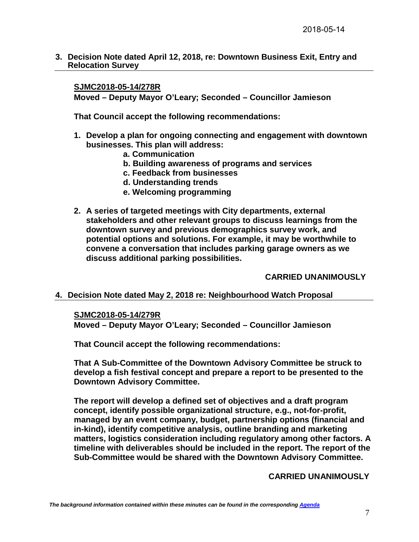**3. Decision Note dated April 12, 2018, re: Downtown Business Exit, Entry and Relocation Survey**

#### **SJMC2018-05-14/278R**

**Moved – Deputy Mayor O'Leary; Seconded – Councillor Jamieson**

**That Council accept the following recommendations:**

- **1. Develop a plan for ongoing connecting and engagement with downtown businesses. This plan will address:**
	- **a. Communication**
	- **b. Building awareness of programs and services**
	- **c. Feedback from businesses**
	- **d. Understanding trends**
	- **e. Welcoming programming**
- **2. A series of targeted meetings with City departments, external stakeholders and other relevant groups to discuss learnings from the downtown survey and previous demographics survey work, and potential options and solutions. For example, it may be worthwhile to convene a conversation that includes parking garage owners as we discuss additional parking possibilities.**

# **CARRIED UNANIMOUSLY**

#### **4. Decision Note dated May 2, 2018 re: Neighbourhood Watch Proposal**

#### **SJMC2018-05-14/279R**

**Moved – Deputy Mayor O'Leary; Seconded – Councillor Jamieson**

**That Council accept the following recommendations:**

**That A Sub-Committee of the Downtown Advisory Committee be struck to develop a fish festival concept and prepare a report to be presented to the Downtown Advisory Committee.**

**The report will develop a defined set of objectives and a draft program concept, identify possible organizational structure, e.g., not-for-profit, managed by an event company, budget, partnership options (financial and in-kind), identify competitive analysis, outline branding and marketing matters, logistics consideration including regulatory among other factors. A timeline with deliverables should be included in the report. The report of the Sub-Committee would be shared with the Downtown Advisory Committee.**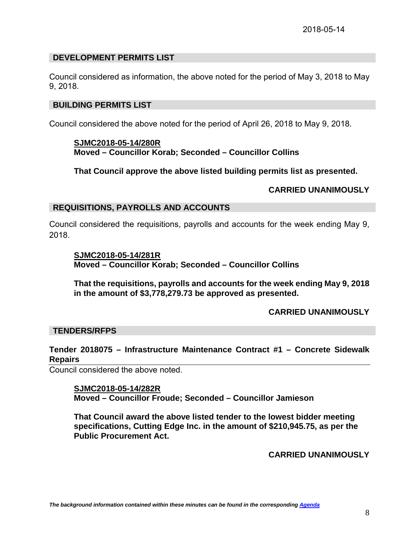## **DEVELOPMENT PERMITS LIST**

Council considered as information, the above noted for the period of May 3, 2018 to May 9, 2018.

#### **BUILDING PERMITS LIST**

Council considered the above noted for the period of April 26, 2018 to May 9, 2018.

**SJMC2018-05-14/280R Moved – Councillor Korab; Seconded – Councillor Collins**

**That Council approve the above listed building permits list as presented.**

#### **CARRIED UNANIMOUSLY**

#### **REQUISITIONS, PAYROLLS AND ACCOUNTS**

Council considered the requisitions, payrolls and accounts for the week ending May 9, 2018.

#### **SJMC2018-05-14/281R**

**Moved – Councillor Korab; Seconded – Councillor Collins**

**That the requisitions, payrolls and accounts for the week ending May 9, 2018 in the amount of \$3,778,279.73 be approved as presented.**

#### **CARRIED UNANIMOUSLY**

#### **TENDERS/RFPS**

## **Tender 2018075 – Infrastructure Maintenance Contract #1 – Concrete Sidewalk Repairs**

Council considered the above noted.

# **SJMC2018-05-14/282R Moved – Councillor Froude; Seconded – Councillor Jamieson**

**That Council award the above listed tender to the lowest bidder meeting specifications, Cutting Edge Inc. in the amount of \$210,945.75, as per the Public Procurement Act.**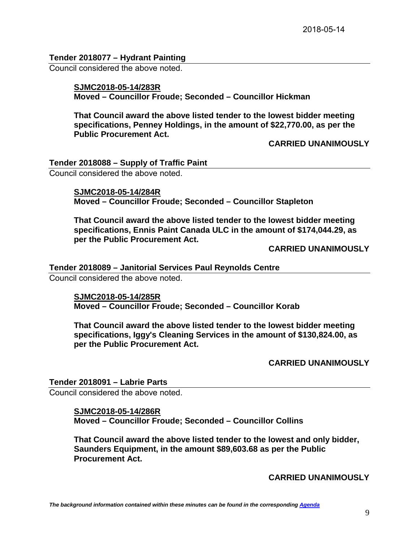## **Tender 2018077 – Hydrant Painting**

Council considered the above noted.

# **SJMC2018-05-14/283R Moved – Councillor Froude; Seconded – Councillor Hickman**

**That Council award the above listed tender to the lowest bidder meeting specifications, Penney Holdings, in the amount of \$22,770.00, as per the Public Procurement Act.** 

**CARRIED UNANIMOUSLY**

**Tender 2018088 – Supply of Traffic Paint**

Council considered the above noted.

**SJMC2018-05-14/284R Moved – Councillor Froude; Seconded – Councillor Stapleton**

**That Council award the above listed tender to the lowest bidder meeting specifications, Ennis Paint Canada ULC in the amount of \$174,044.29, as per the Public Procurement Act.** 

**CARRIED UNANIMOUSLY**

#### **Tender 2018089 – Janitorial Services Paul Reynolds Centre**

Council considered the above noted.

**SJMC2018-05-14/285R Moved – Councillor Froude; Seconded – Councillor Korab**

**That Council award the above listed tender to the lowest bidder meeting specifications, Iggy's Cleaning Services in the amount of \$130,824.00, as per the Public Procurement Act.** 

**CARRIED UNANIMOUSLY**

**Tender 2018091 – Labrie Parts**

Council considered the above noted.

# **SJMC2018-05-14/286R**

**Moved – Councillor Froude; Seconded – Councillor Collins**

**That Council award the above listed tender to the lowest and only bidder, Saunders Equipment, in the amount \$89,603.68 as per the Public Procurement Act.**